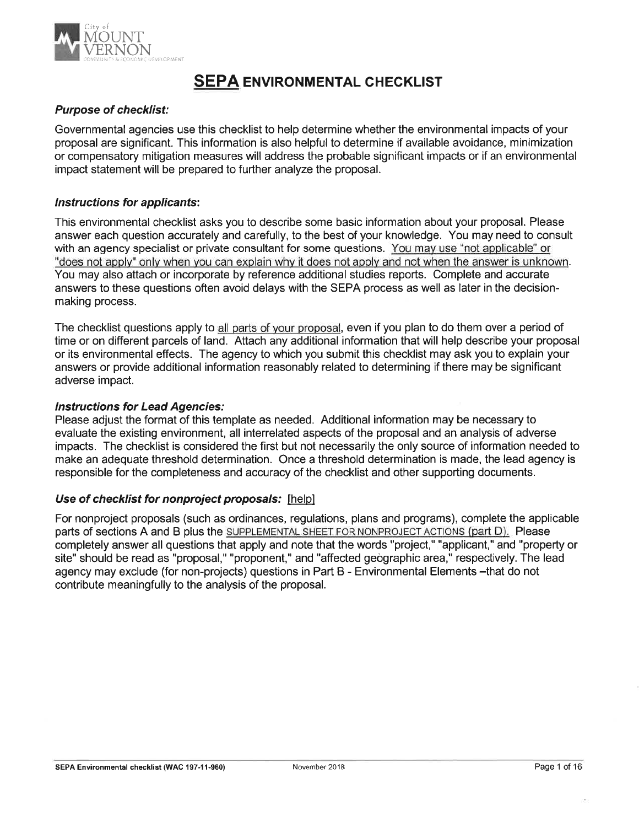

# SEPA ENVIRONMENTAL CHECKLIST

## Purpose of checklist:

Governmental agencies use this checklist to help determine whether the environmental impacts of your proposal are significant. This information is also helpful to determine if available avoidance, minimization or compensatory mitigation measures will address the probable significant impacts or if an environmental impact statement will be prepared to further analyze the proposal.

### Instructions for applicants:

This environmental checklist asks you to describe some basic information about your proposal. Please answer each question accurately and carefully, to the best of your knowledge. You may need to consult with an agency specialist or private consultant for some questions. You mav use "not applicable" or "does not aoplv" onlv when vou can explain whv it does not applv and not when the answer is unknown. You may also attach or incorporate by reference additional studies reports. Complete and accurate answers to these questions often avoid delays with the SEPA process as well as later in the decisionmaking process.

The checklist questions apply to all parts of vour proposal, even if you plan to do them over a period of time or on different parcels of land. Attach any additional information that will help describe your proposal or its environmental effects. The agency to which you submit this checklist may ask you to explain your answers or provide additional information reasonably related to determining if there may be significant adverse impact.

### lnstructions for Lead Agencies:

Please adjust the format of this template as needed. Additional information may be necessary to evaluate the existing environment, all interrelated aspects of the proposal and an analysis of adverse impacts. The checklist is considered the first but not necessarily the only source of information needed to make an adequate threshold determination. Once a threshold determination is made, the lead agency is responsible for the completeness and accuracy of the checklist and other supporting documents.

### Use of checklist for nonproject proposals: [help]

For nonproject proposals (such as ordinances, regulations, plans and programs), complete the applicable parts of sections A and B plus the SUPPLEMENTAL SHEET FOR NONPROJECT ACTIONS (part D). Please completely answer all questions that apply and note that the words "project," "applicant," and "property or site" should be read as "proposal," "proponent," and "affected geographic area," respectively. The lead agency may exclude (for non-projects) questions in Part B - Environmental Elements -that do not contribute meaningfully to the analysis of the proposal.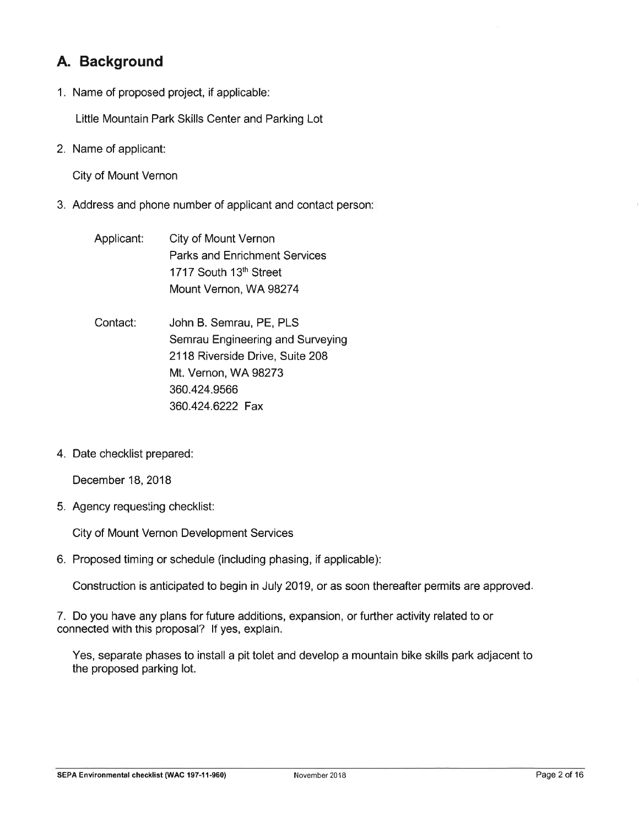# A. Background

1. Name of proposed project, if applicable:

Little Mountain Park Skills Center and Parking Lot

2. Name of applicant:

City of Mount Vernon

- 3. Address and phone number of applicant and contact person
	- Applicant: City of Mount Vernon Parks and Enrichment Services 1717 South 13th Street Mount Vernon, WA.98274
	- Contact: John B. Semrau, PE, PLS Semrau Engineering and Surveying 2118 Riverside Drive, Suite 208 Mt. Vernon, WA 98273 360.424.9566 360.424.6222 Fax
- 4. Date checklist prepared:

December 18,2018

5. Agency requesting checklist:

City of Mount Vernon Development Services

6. Proposed timing or schedule (including phasing, if applicable):

Construction is anticipated to begin in July 2019, or as soon thereafter permits are approved

7. Do you have any plans for future additions, expansion, or further activity related to or connected with this proposal? lf yes, explain.

Yes, separate phases to install a pit tolet and develop a mountain bike skills park adjacent to the proposed parking lot.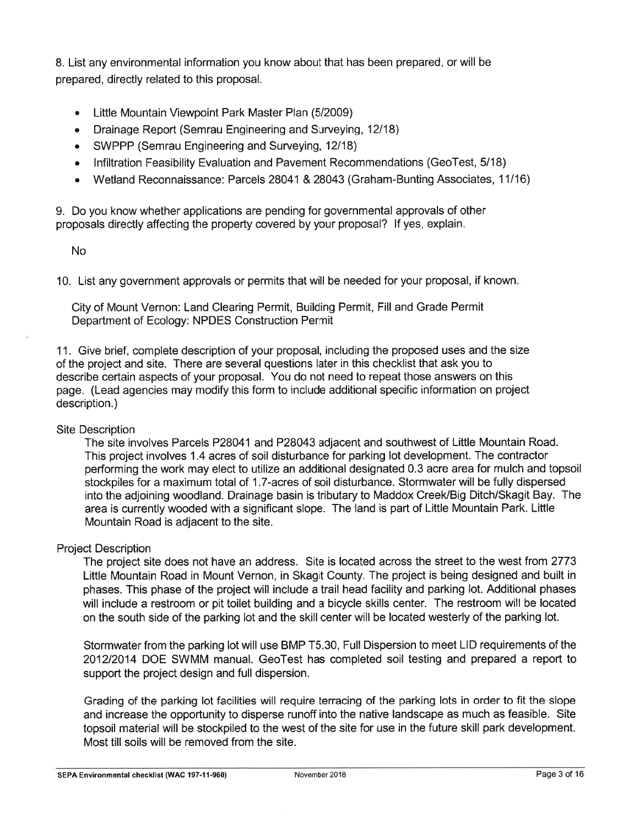8. List any environmental information you know about that has been prepared, or will be prepared, directly related to this proposal.

- ¡ Little Mountain Viewpoint Park Master Plan (5/2009)
- Drainage Report (Semrau Engineering and Surveying, 12/18)
- . SWPPP (Semrau Engineering and Surveying,12118)
- . lnfiltration Feasibility Evaluation and Pavement Recommendations (GeoTest, 5/18)
- Wetland Reconnaissance: Parcels 28041 & 28043 (Graham-Bunting Associates, 11/16)

9. Do you know whether applications are pending for governmental approvals of other proposals directly affecting the property covered by your proposal? lf yes, explain.

No

10. List any government approvals or permits that will be needed for your proposal, if known

City of Mount Vernon: Land Clearing Permit, Building Permit, Fill and Grade Permit Department of Ecology: NPDES Construction Permit

11. Give brief, complete description of your proposal, including the proposed uses and the size of the project and site. There are several questions later in this checklist that ask you to describe certain aspects of your proposal. You do not need to repeat those answers on this page. (Lead agencies may modify this form to include additional specific information on project description.)

### Site Description

The site involves Parcels P28041 and P28043 adjacent and southwest of Little Mountain Road. This project involves 1.4 acres of soil disturbance for parking lot development. The contractor performing the work may elect to utilize an additional designated 0.3 acre area for mulch and topsoil stockpiles for a maximum total of 1.7-acres of soil disturbance. Stormwater will be fully dispersed into the adjoining woodland. Drainage basin is tributary to Maddox Creek/Big Ditch/Skagit Bay. The area is currently wooded with a significant slope. The land is part of Little Mountain Park. Little Mountain Road is adjacent to the site.

## Project Description

The project site does not have an address. Site is located across the street to the west from 2773 Little Mountain Road in Mount Vernon, in Skagit County. The project is being designed and built in phases. This phase of the project will include a trail head facility and parking lot. Additional phases will include a restroom or pit toilet building and a bicycle skills center. The restroom will be located on the south side of the parking lot and the skill center will be located westerly of the parking lot.

Stormwater from the parking lot will use BMP T5.30, Full Dispersion to meet LID requirements of the 2012/2014 DOE SWMM manual. GeoTest has completed soil testing and prepared a report to support the project design and full dispersion.

Grading of the parking lot facilities will require terracing of the parking lots in order to fit the slope and increase the opportunity to disperse runoff into the native landscape as much as feasible. Site topsoil material will be stockpiled to the west of the site for use in the future skill park development. Most till soils will be removed from the site.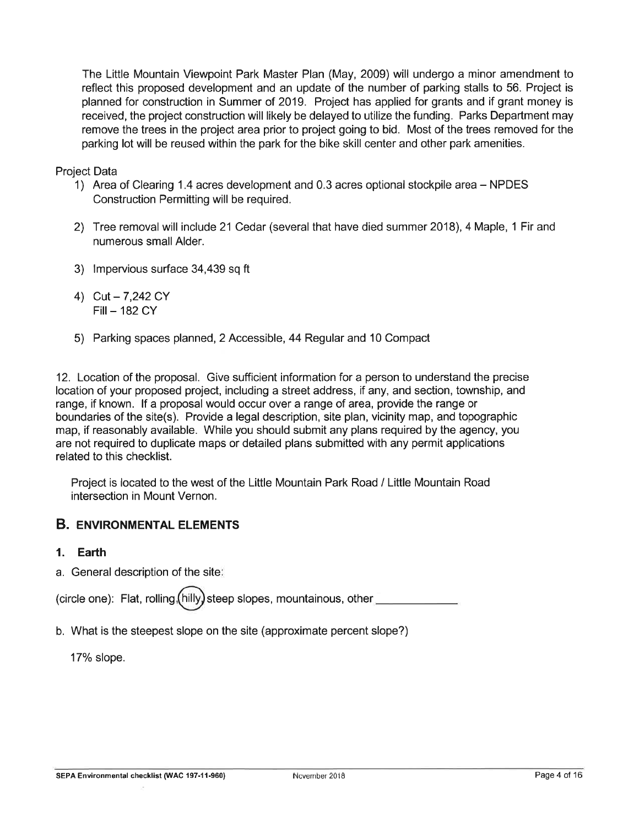The Little Mountain Viewpoint Park Master Plan (May, 2009) will undergo a minor amendment to reflect this proposed development and an update of the number of parking stalls to 56. Project is planned for construction in Summer of 2019. Project has applied for grants and if grant money is received, the project construction will likely be delayed to utilize the funding. Parks Department may remove the trees in the project area prior to project going to bid. Most of the trees removed for the parking lot will be reused within the park for the bike skill center and other park amenities.

Project Data

- 1) Area of Clearing 1.4 acres development and 0.3 acres optional stockpile area NPDES Construction Permitting will be required.
- 2) Tree removal will include 21 Cedar (several that have died summer 2018), 4 Maple, 1 Fir and numerous small Alder.
- 3) lmpervious surface 34,439 sq ft
- 4) Cut  $7,242$  CY  $Fill - 182 CY$
- 5) Parking spaces planned, 2 Accessible, 44 Regular and 10 Compact

12. Location of the proposal. Give sufficient information for a person to understand the precise location of your proposed project, including a street address, if any, and section, township, and range, if known. lf a proposal would occur over a range of area, provide the range or boundaries of the site(s). Provide a legal description, site plan, vicinity map, and topographic map, if reasonably available. While you should submit any plans required by the agency, you are not required to duplicate maps or detailed plans submitted with any permit applications related to this checklist.

Project is located to the west of the Little Mountain Park Road / Little Mountain Road intersection in Mount Vernon.

# **B. ENVIRONMENTAL ELEMENTS**

- l. Earth
- a. General description of the site

(circle one): Flat, rolling  $(hilly)$  steep slopes, mountainous, other

b. What is the steepest slope on the site (approximate percent slope?)

17% slope.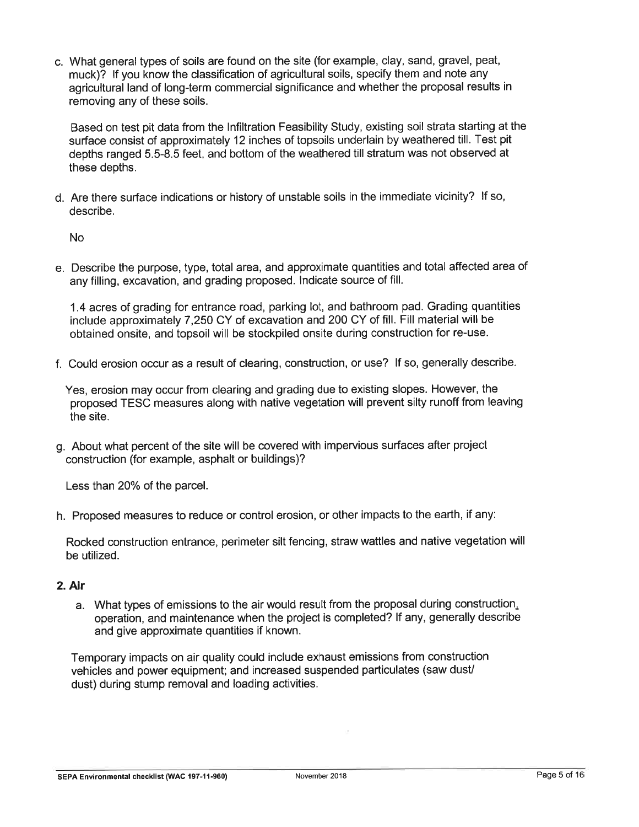c. What general types of soils are found on the site (for example, clay, sand, gravel, peat, muck)? lf you know the classification of agricultural soils, specify them and note any agricultural land of long-term commercial significance and whether the proposal results in removing any of these soils.

Based on test pit data from the lnfiltration Feasibility Study, existing soil strata starting at the surface consist of approximately 12 inches of topsoils underlain by weathered till. Test pit depths ranged 5.5-8.5 feet, and bottom of the weathered till stratum was not observed at these depths.

d. Are there surface indications or history of unstable soils in the immediate vicinity? lf so, describe.

No

e. Describe the purpose, type, total area, and approximate quantities and total affected area of any filling, excavation, and grading proposed. lndicate source of fill.

1.4 acres of grading for entrance road, parking lot, and bathroom pad. Grading quantities include approximately 7,250 CY of excavation and 200 CY of fill. Fill material will be obtained onsite, and topsoil will be stockpiled onsite during construction for re-use.

f. Could erosion occur as a result of clearing, construction, or use? lf so, generally describe.

Yes, erosion may occur from clearing and grading due to existing slopes. However, the proposed TESC measures along with native vegetation will prevent silty runoff from leaving the site.

g. About what percent of the site will be covered with impervious surfaces after project construction (for example, asphalt or buildings)?

Less than 20% of the parcel.

h. Proposed measures to reduce or control erosion, or other impacts to the earth, if any:

Rocked construction entrance, perimeter silt fencing, straw wattles and native vegetation will be utilized.

## 2. Air

a. What types of emissions to the air would result from the proposal during construction, operation, and maintenance when the project is completed? lf any, generally describe and give approximate quantities if known.

Temporary impacts on air quality could include exhaust emissions from construction vehicles and power equipment; and increased suspended particulates (saw dusU dust) during stump removal and loading activities.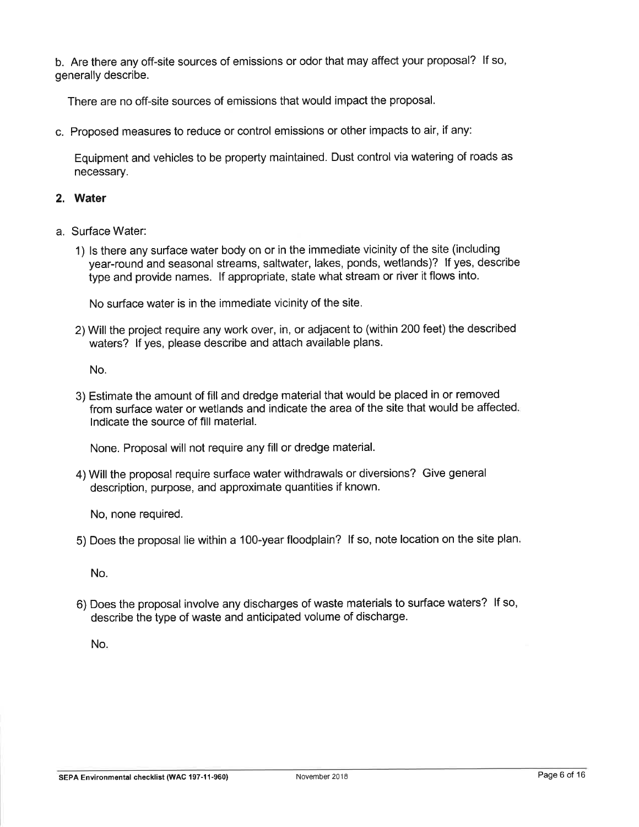b. Are there any off-site sources of emissions or odor that may affect your proposal? lf so, generally describe.

There are no off-site sources of emissions that would impact the proposal.

c. Proposed measures to reduce or control emissions or other impacts to air, if any:

Equipment and vehicles to be property maintained. Dust control via watering of roads as necessary.

## 2. Water

- a. Surface Water:
	- 1) ls there any surface water body on or in the immediate vicinity of the site (including year-round and seasonal streams, saltwater, lakes, ponds, wetlands)? lf yes, describe type and provide names. lf appropriate, state what stream or river it flows into.

No surface water is in the immediate vicinity of the site.

2) Will the project require any work over, in, or adjacent to (within 200 feet) the described waters? lf yes, please describe and attach available plans.

No.

3) Estimate the amount of fill and dredge material that would be placed in or removed from surface water or wetlands and indicate the area of the site that would be affected lndicate the source of fill material.

None. Proposal will not require any fill or dredge material.

4) Will the proposal require surface water withdrawals or diversions? Give general description, purpose, and approximate quantities if known.

No, none required.

5) Does the proposal lie within a 100-year floodplain? lf so, note location on the site plan

No.

6) Does the proposal involve any discharges of waste materials to surface waters? lf so, describe the type of waste and anticipated volume of discharge.

No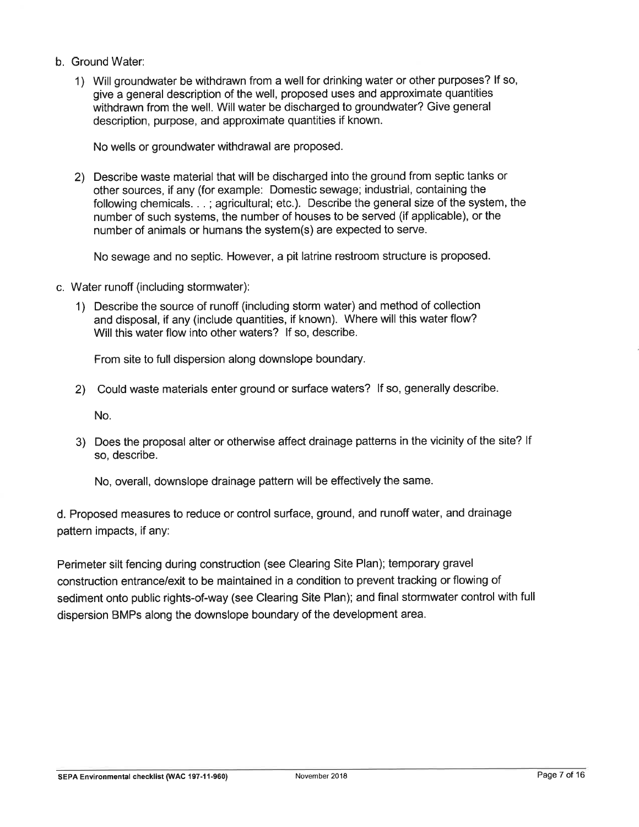- b. Ground Water:
	- 1) Will groundwater be withdrawn from a well for drinking water or other purposes? lf so, give a general description of the well, proposed uses and approximate quantities withdrawn from the well. Will water be discharged to groundwater? Give general description, purpose, and approximate quantities if known.

No wells or groundwater withdrawal are proposed.

2) Describe waste material that will be discharged into the ground from septic tanks or other sources, if any (for example: Domestic sewage; industrial, containing the following chemicals. . . ; agricultural; etc.). Describe the general size of the system, the number of such systems, the number of houses to be served (if applicable), or the number of animals or humans the system(s) are expected to serve.

No sewage and no septic. However, a pit latrine restroom structure is proposed.

- c. Water runoff (including stormwater):
	- 1) Describe the source of runoff (including storm water) and method of collection and disposal, if any (include quantities, if known). Where will this water flow? Will this water flow into other waters? lf so, describe.

From site to full dispersion along downslope boundary.

2) Could waste materials enter ground or surface waters? lf so, generally describe.

No.

3) Does the proposal alter or otherwise affect drainage patterns in the vicinity of the site? If so, describe.

No, overall, downslope drainage pattern will be effectively the same.

d. Proposed measures to reduce or control surface, ground, and runoff water, and drainage pattern impacts, if any:

Perimeter silt fencing during construction (see Clearing Site Plan); temporary grave<sup>l</sup> construction entrance/exit to be maintained in a condition to prevent tracking or flowing of sediment onto public rights-of-way (see Clearing Site Plan); and final stormwater control with full dispersion BMPs along the downslope boundary of the development area.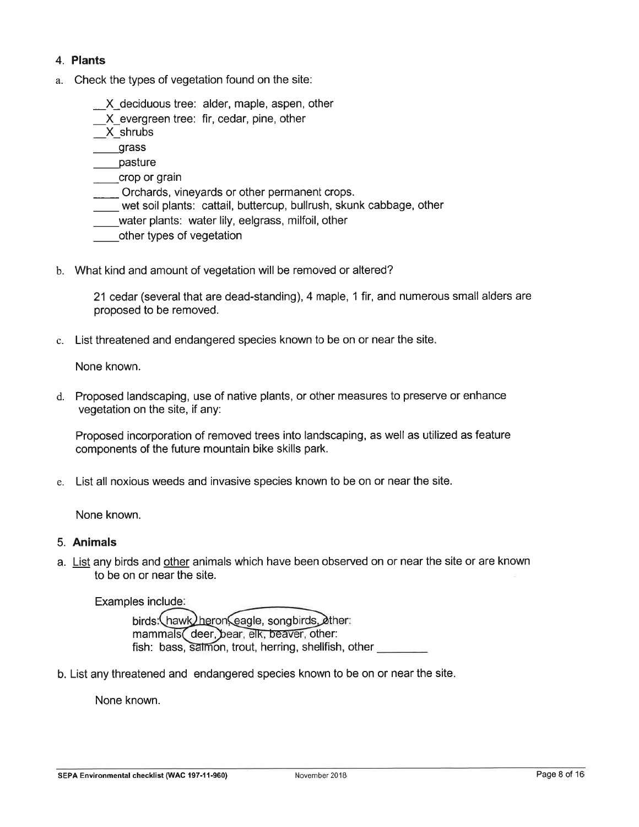## 4. Plants

a. Check the types of vegetation found on the site:

\_X\_deciduous tree: alder, maple, aspen, other

\_X\_evergreen tree: fir, cedar, pine, other

\_X\_shrubs

grass

\_pasture

\_crop or grain

\_ Orchards, vineyards or other permanent crops.

- \_ wet soil plants: cattail, buttercup, bullrush, skunk cabbage, other
- water plants: water lily, eelgrass, milfoil, other
- other types of vegetation
- b. What kind and amount of vegetation will be removed or altered?

21 cedar (several that are dead-standing), 4 maple, 1 fir, and numerous small alders are proposed to be removed.

c. List threatened and endangered species known to be on or near the site

None known.

d. Proposed landscaping, use of native plants, or other measures to preserve or enhance vegetation on the site, if any:

Proposed incorporation of removed trees into landscaping, as well as utilized as feature components of the future mountain bike skills park.

e. List all noxious weeds and invasive species known to be on or near the site.

None known.

#### 5. Animals

a. List any birds and other animals which have been observed on or near the site or are known to be on or near the site.

Examples include

birds:\hawk<u>/he</u>ron\eagle, song mammals( deer, bear, elk, beaver, other fish: bass, salmon, trout, herring, shellfish, other

b. List any threatened and endangered species known to be on or near the site

None known.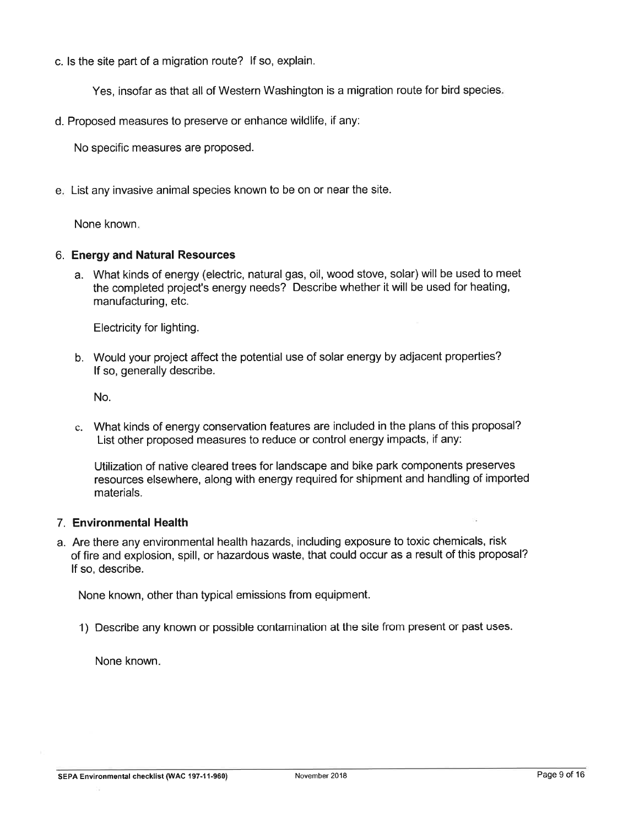c. ls the site part of a migration route? lf so, explain.

Yes, insofar as that all of Western Washington is a migration route for bird species

d. Proposed measures to preserve or enhance wildlife, if any:

No specific measures are proposed.

<sup>e</sup> List any invasive animal species known to be on or near the site.

None known

### 6. Energyand Natural Resources

a. What kinds of energy (electric, natural gas, oil, wood stove, solar) will be used to meet the completed project's energy needs? Describe whether it will be used for heating, manufacturing, etc.

Electricity for lighting.

b. Would your project affect the potential use of solar energy by adjacent properties? lf so, generally describe.

No.

c. What kinds of energy conservation features are included in the plans of this proposal? List other proposed measures to reduce or control energy impacts, if any:

Utilization of native cleared trees for landscape and bike park components preserves resources elsewhere, along with energy required for shipment and handling of imported materials.

### 7. Environmental Health

a. Are there any environmental health hazards, including exposure to toxic chemicals, risk of fire and explosion, spill, or hazardous waste, that could occur as a result of this proposal? lf so, describe.

None known, other than typical emissions from equipment.

1) Describe any known or possible contamination at the site from present or past uses.

None known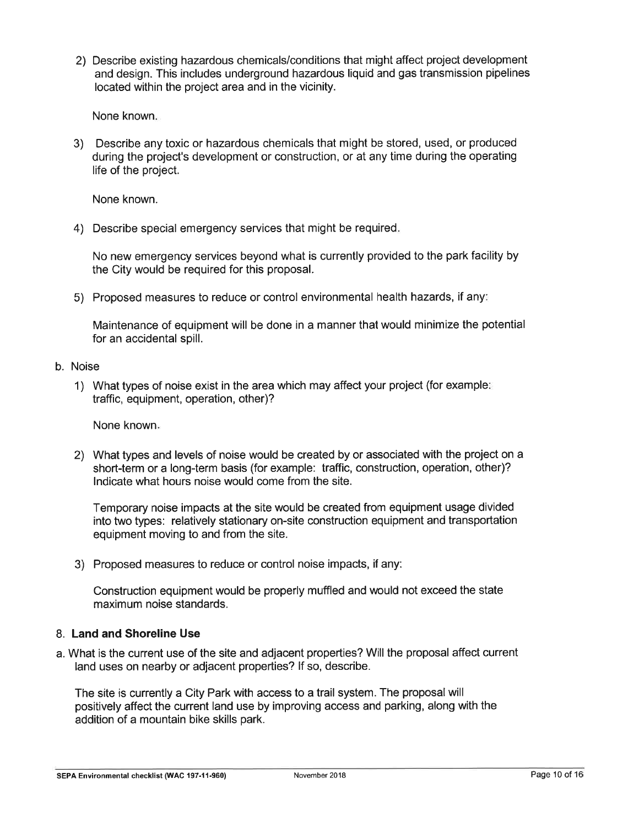2) Describe existing hazardous chemicals/conditions that might affect project development and design. This includes underground hazardous liquid and gas transmission pipelines located within the project area and in the vicinity.

None known

3) Describe any toxic or hazardous chemicals that might be stored, used, or produced during the project's development or construction, or at any time during the operating life of the project.

None known.

4) Describe special emergency services that might be required

No new emergency services beyond what is currently provided to the park facility by the City would be required for this proposal.

5) Proposed measures to reduce or control environmental health hazards, if any

Maintenance of equipment will be done in a manner that would minimize the potential for an accidental spill.

### b. Noise

1) What types of noise exist in the area which may affect your project (for example traffic, equipment, operation, other)?

None known

2) What types and levels of noise would be created by or associated with the project on a short-term or a long-term basis (for example: traffic, construction, operation, other)? lndicate what hours noise would come from the site.

Temporary noise impacts at the site would be created from equipment usage divided into two types: relatively stationary on-site construction equipment and transportation equipment moving to and from the site.

3) Proposed measures to reduce or control noise impacts, if any:

Construction equipment would be properly muffled and would not exceed the state maximum noise standards.

### 8. Land and Shoreline Use

a. What is the current use of the site and adjacent properties? Will the proposal affect current land uses on nearby or adjacent properties? lf so, describe.

The site is currently a City Park with access to a trail system. The proposalwill positively affect the current land use by improving access and parking, along with the addition of a mountain bike skills park.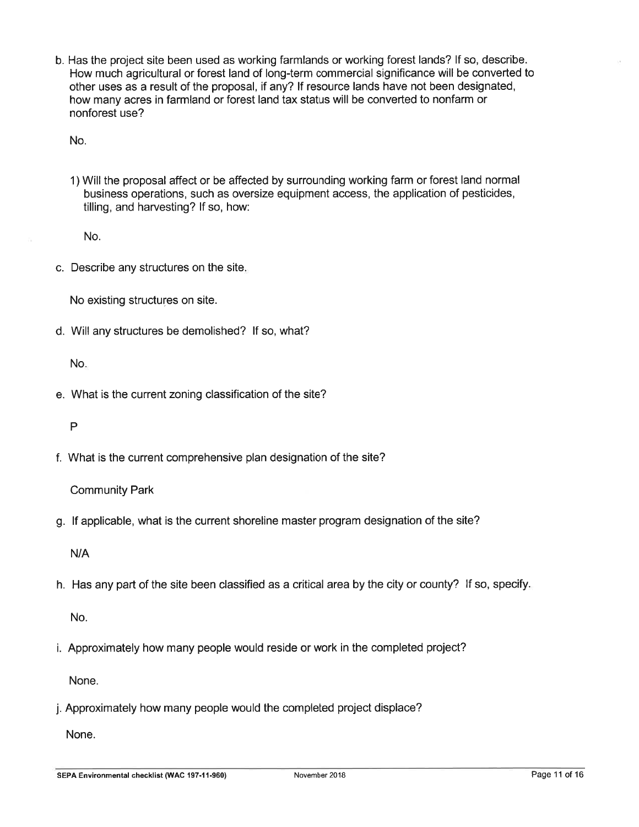b. Has the project site been used as working farmlands or working forest lands? lf so, describe. How much agricultural or forest land of long-term commercial significance will be converted to other uses as a result of the proposal, if any? lf resource lands have not been designated, how many acres in farmland or forest land tax status will be converted to nonfarm or nonforest use?

No.

1) Will the proposal affect or be affected by surrounding working farm or forest land normal business operations, such as oversize equipment access, the application of pesticides, tilling, and harvesting? lf so, how:

No.

c. Describe any structures on the site

No existing structures on site.

d. Will any structures be demolished? lf so, what?

No

e. What is the current zoning classification of the site?

P

f. What is the current comprehensive plan designation of the site?

Community Park

g. lf applicable, what is the current shoreline master program designation of the site?

N/A

h. Has any part of the site been classified as a critical area by the city or county? lf so, specify

No.

i. Approximately how many people would reside or work in the completed project?

None.

j. Approximately how many people would the completed project displace?

None.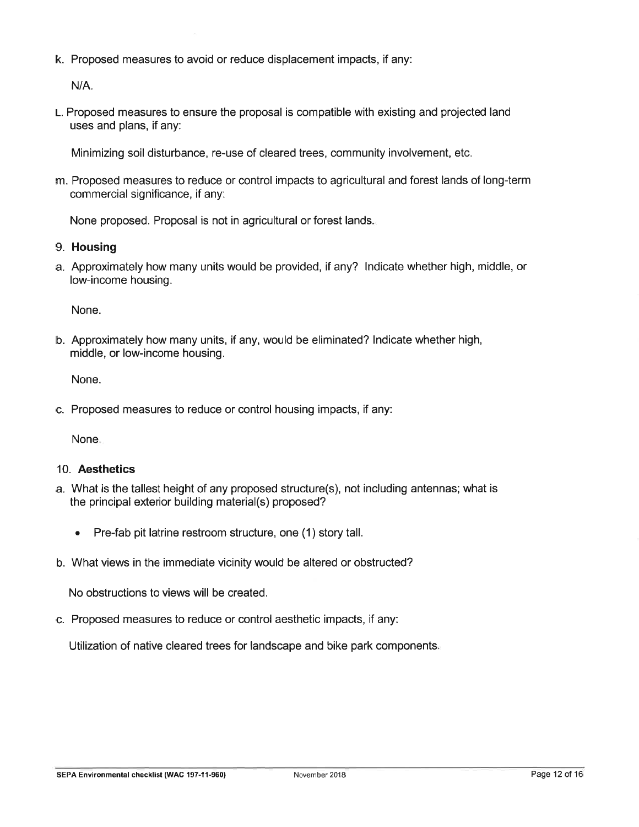k. Proposed measures to avoid or reduce displacement impacts, if any:

 $N/A$ .

L. Proposed measures to ensure the proposal is compatible with existing and projected land uses and plans, if any:

Minimizing soil disturbance, re-use of cleared trees, community involvement, etc.

m. Proposed measures to reduce or control impacts to agricultural and forest lands of long-term commercial significance, if any:

None proposed. Proposal is not in agricultural or forest lands

- 9. Housing
- a. Approximately how many units would be provided, if any? lndicate whether high, middle, or low-income housing.

None.

b. Approximately how many units, if any, would be eliminated? lndicate whether high, middle, or low-income housing.

None.

c. Proposed measures to reduce or control housing impacts, if any:

None

#### 10. Aesthetics

- a. What is the tallest height of any proposed structure(s), not including antennas; what is the principal exterior building material(s) proposed?
	- . Pre-fab pit latrine restroom structure, one (1) story tall.
- b. What views in the immediate vicinity would be altered or obstructed?

No obstructions to views will be created.

c. Proposed measures to reduce or control aesthetic impacts, if any:

Utilization of native cleared trees for landscape and bike park components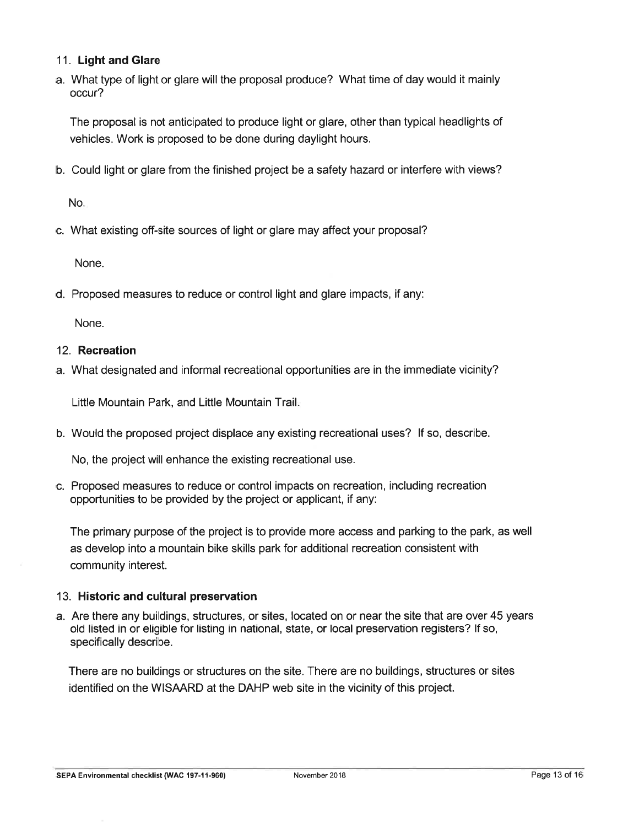## 11. Light and Glare

a. What type of light or glare will the proposal produce? What time of day would it mainly occur?

The proposal is not anticipated to produce light or glare, other than typical headlights of vehicles. Work is proposed to be done during daylight hours.

b. Could light or glare from the finished project be a safety hazard or interfere with views?

No

c. What existing off-site sources of light or glare may affect your proposal?

None.

d. Proposed measures to reduce or control light and glare impacts, if any:

None.

### 12. Recreation

a. What designated and informal recreational opportunities are in the immediate vicinity?

Little Mountain Park, and Little Mountain Trail

b. Would the proposed project displace any existing recreational uses? lf so, describe.

No, the project will enhance the existing recreational use.

c. Proposed measures to reduce or control impacts on recreation, including recreation opportunities to be provided by the project or applicant, if any:

The primary purpose of the project is to provide more access and parking to the park, as well as develop into a mountain bike skills park for additional recreation consistent with community interest.

### 13. Historic and cultural preservation

a. Are there any buildings, structures, or sites, located on or near the site that are over 45 years old listed in or eligible for listing in national, state, or local preservation registers? lf so, specifically describe.

There are no buildings or structures on the site. There are no buildings, structures or sites identified on the WISAARD at the DAHP web site in the vicinity of this project.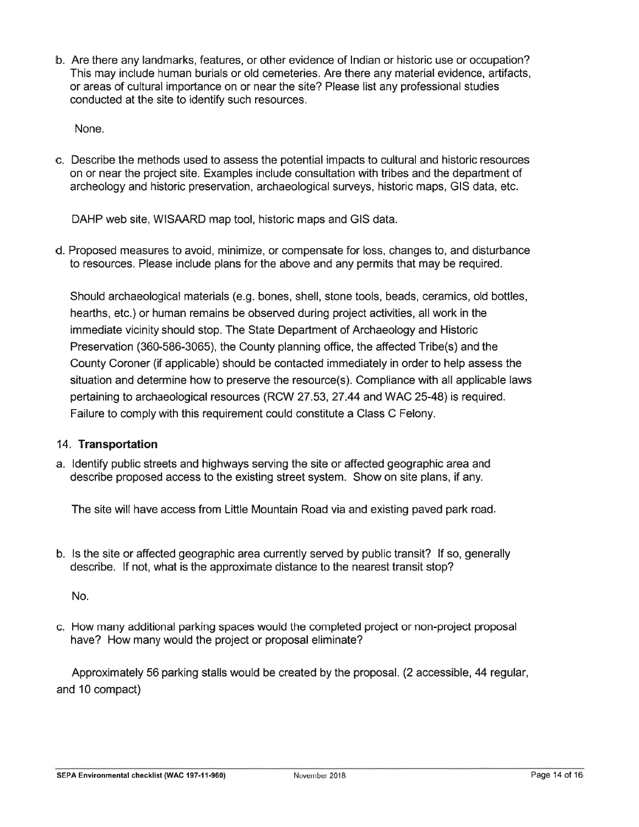b. Are there any landmarks, features, or other evidence of lndian or historic use or occupation? This may include human burials or old cemeteries. Are there any material evidence, artifacts, or areas of cultural importance on or near the site? Please list any professional studies conducted at the site to identify such resources.

None.

c. Describe the methods used to assess the potential impacts to cultural and historic resources on or near the project site. Examples include consultation with tribes and the department of archeology and historic preservation, archaeological surveys, historic maps, GIS data, etc.

DAHP web site, WISAARD map tool, historic maps and GIS data.

d. Proposed measures to avoid, minimize, or compensate for loss, changes to, and disturbance to resources. Please include plans for the above and any permits that may be required.

Should archaeological materials (e.9. bones, shell, stone tools, beads, ceramics, old bottles, hearths, etc.) or human remains be observed during project activities, all work in the immediate vicinity should stop. The State Department of Archaeology and Historic Preservation (360-586-3065), the County planning office, the affected Tribe(s) and the County Coroner (if applicable) should be contacted immediately in order to help assess the situation and determine how to preserve the resource(s). Compliance with all applicable laws pertaining to archaeological resources (RCW 27 .53,27 .44 and WAC 25-48) is required. Failure to comply with this requirement could constitute a Class C Felony.

## 14. Transportation

a. ldentify public streets and highways serving the site or affected geographic area and describe proposed access to the existing street system. Show on site plans, if any.

The site will have access from Little Mountain Road via and existing paved park road

b. ls the site or affected geographic area currently served by public transit? lf so, generally describe. lf not, what is the approximate distance to the nearest transit stop?

No.

c. How many additional parking spaces would the completed project or non-project proposal have? How many would the project or proposal eliminate?

Approximately 56 parking stalls would be created by the proposal. (2 accessible, 44 regular, and 10 compact)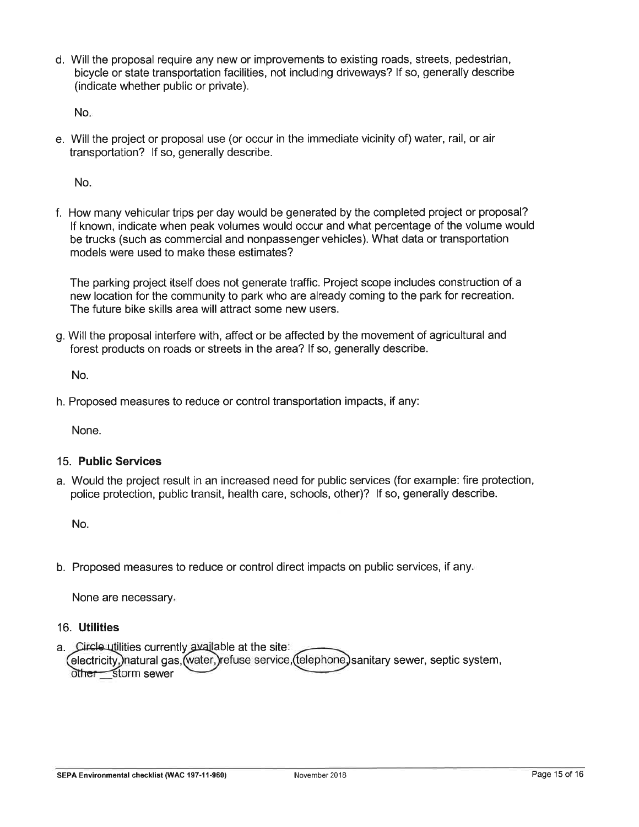d. Will the proposal require any new or improvements to existing roads, streets, pedestrian, bicycle or state transportation facilities, not including driveways? lf so, generally describe (indicate whether public or private).

No

e. Will the project or proposal use (or occur in the immediate vicinity of) water, rail, or air transportation? lf so, generally describe.

No

f. How many vehicular trips per day would be generated by the completed project or proposal? lf known, indicate when peak volumes would occur and what percentage of the volume would be trucks (such as commercial and nonpassenger vehicles). What data or transportation models were used to make these estimates?

The parking prolect itself does not generate traffic. Project scope includes construction of a new location for the community to park who are already coming to the park for recreation. The future bike skills area will attract some new users.

g. Will the proposal interfere with, affect or be affected by the movement of agricultural and forest products on roads or streets in the area? lf so, generally describe.

No.

h. Proposed measures to reduce or control transportation impacts, if any:

None.

#### 15. Public Services

a. Would the project result in an increased need for public services (for example: fire protection, police protection, public transit, health care, schools, other)? lf so, generally describe.

No.

b. Proposed measures to reduce or control direct impacts on public services, if any

None are necessary.

#### 16. Utilities

a. Circle utilities currently available at the site: electricity,)natural gas,(water,)refuse service,(telephone) sanitary sewer, septic system other storm sewer